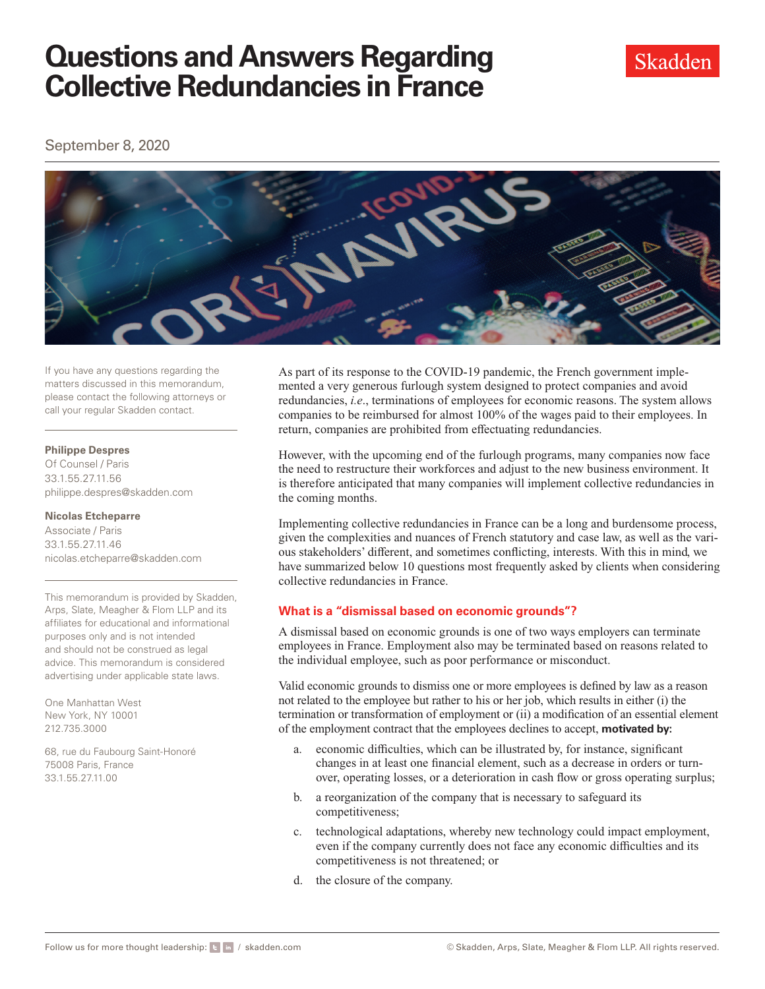September 8, 2020



If you have any questions regarding the matters discussed in this memorandum, please contact the following attorneys or call your regular Skadden contact.

#### **Philippe Despres**

Of Counsel / Paris 33.1.55.27.11.56 [philippe.despres@skadden.com](mailto:philippe.despres@skadden.com
)

#### **Nicolas Etcheparre**

Associate / Paris 33.1.55.27.11.46 [nicolas.etcheparre@skadden.com](mailto:nicolas.etcheparre@skadden.com
)

This memorandum is provided by Skadden, Arps, Slate, Meagher & Flom LLP and its affiliates for educational and informational purposes only and is not intended and should not be construed as legal advice. This memorandum is considered advertising under applicable state laws.

One Manhattan West New York, NY 10001 212.735.3000

68, rue du Faubourg Saint-Honoré 75008 Paris, France 33.1.55.27.11.00

As part of its response to the COVID-19 pandemic, the French government implemented a very generous furlough system designed to protect companies and avoid redundancies, *i.e*., terminations of employees for economic reasons. The system allows companies to be reimbursed for almost 100% of the wages paid to their employees. In return, companies are prohibited from effectuating redundancies.

However, with the upcoming end of the furlough programs, many companies now face the need to restructure their workforces and adjust to the new business environment. It is therefore anticipated that many companies will implement collective redundancies in the coming months.

Implementing collective redundancies in France can be a long and burdensome process, given the complexities and nuances of French statutory and case law, as well as the various stakeholders' different, and sometimes conflicting, interests. With this in mind, we have summarized below 10 questions most frequently asked by clients when considering collective redundancies in France.

## **What is a "dismissal based on economic grounds"?**

A dismissal based on economic grounds is one of two ways employers can terminate employees in France. Employment also may be terminated based on reasons related to the individual employee, such as poor performance or misconduct.

Valid economic grounds to dismiss one or more employees is defined by law as a reason not related to the employee but rather to his or her job, which results in either (i) the termination or transformation of employment or (ii) a modification of an essential element of the employment contract that the employees declines to accept, **motivated by:**

- a. economic difficulties, which can be illustrated by, for instance, significant changes in at least one financial element, such as a decrease in orders or turnover, operating losses, or a deterioration in cash flow or gross operating surplus;
- b. a reorganization of the company that is necessary to safeguard its competitiveness;
- c. technological adaptations, whereby new technology could impact employment, even if the company currently does not face any economic difficulties and its competitiveness is not threatened; or
- d. the closure of the company.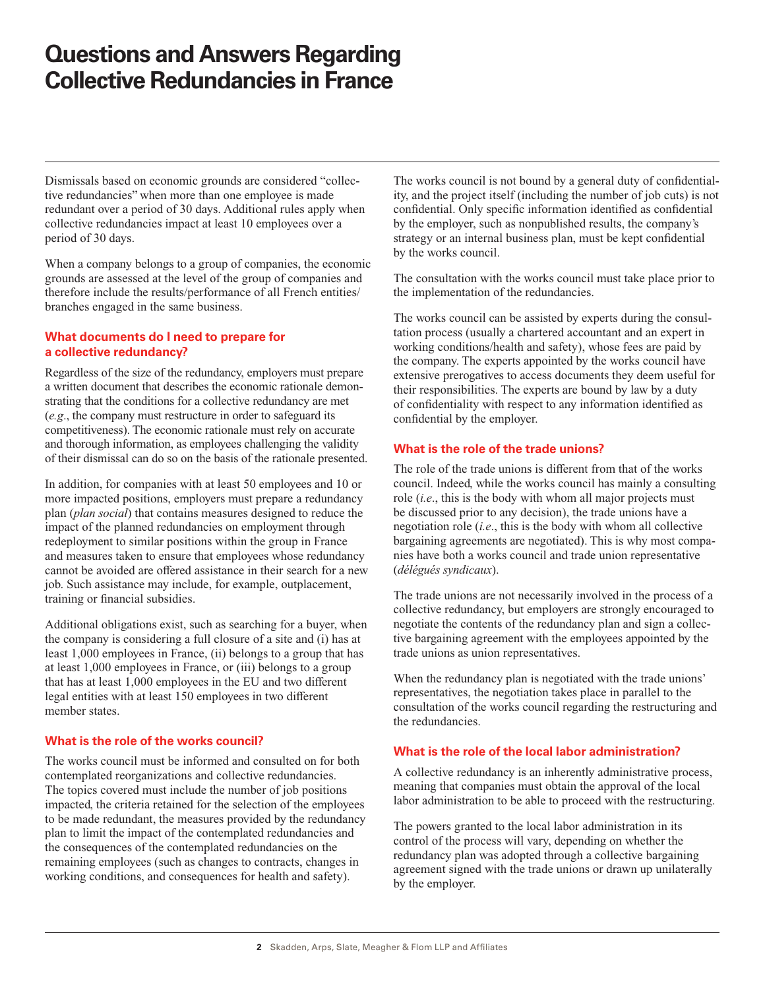Dismissals based on economic grounds are considered "collective redundancies" when more than one employee is made redundant over a period of 30 days. Additional rules apply when collective redundancies impact at least 10 employees over a period of 30 days.

When a company belongs to a group of companies, the economic grounds are assessed at the level of the group of companies and therefore include the results/performance of all French entities/ branches engaged in the same business.

#### **What documents do I need to prepare for a collective redundancy?**

Regardless of the size of the redundancy, employers must prepare a written document that describes the economic rationale demonstrating that the conditions for a collective redundancy are met (*e.g*., the company must restructure in order to safeguard its competitiveness). The economic rationale must rely on accurate and thorough information, as employees challenging the validity of their dismissal can do so on the basis of the rationale presented.

In addition, for companies with at least 50 employees and 10 or more impacted positions, employers must prepare a redundancy plan (*plan social*) that contains measures designed to reduce the impact of the planned redundancies on employment through redeployment to similar positions within the group in France and measures taken to ensure that employees whose redundancy cannot be avoided are offered assistance in their search for a new job. Such assistance may include, for example, outplacement, training or financial subsidies.

Additional obligations exist, such as searching for a buyer, when the company is considering a full closure of a site and (i) has at least 1,000 employees in France, (ii) belongs to a group that has at least 1,000 employees in France, or (iii) belongs to a group that has at least 1,000 employees in the EU and two different legal entities with at least 150 employees in two different member states.

## **What is the role of the works council?**

The works council must be informed and consulted on for both contemplated reorganizations and collective redundancies. The topics covered must include the number of job positions impacted, the criteria retained for the selection of the employees to be made redundant, the measures provided by the redundancy plan to limit the impact of the contemplated redundancies and the consequences of the contemplated redundancies on the remaining employees (such as changes to contracts, changes in working conditions, and consequences for health and safety).

The works council is not bound by a general duty of confidentiality, and the project itself (including the number of job cuts) is not confidential. Only specific information identified as confidential by the employer, such as nonpublished results, the company's strategy or an internal business plan, must be kept confidential by the works council.

The consultation with the works council must take place prior to the implementation of the redundancies.

The works council can be assisted by experts during the consultation process (usually a chartered accountant and an expert in working conditions/health and safety), whose fees are paid by the company. The experts appointed by the works council have extensive prerogatives to access documents they deem useful for their responsibilities. The experts are bound by law by a duty of confidentiality with respect to any information identified as confidential by the employer.

#### **What is the role of the trade unions?**

The role of the trade unions is different from that of the works council. Indeed, while the works council has mainly a consulting role (*i.e*., this is the body with whom all major projects must be discussed prior to any decision), the trade unions have a negotiation role (*i.e*., this is the body with whom all collective bargaining agreements are negotiated). This is why most companies have both a works council and trade union representative (*délégués syndicaux*).

The trade unions are not necessarily involved in the process of a collective redundancy, but employers are strongly encouraged to negotiate the contents of the redundancy plan and sign a collective bargaining agreement with the employees appointed by the trade unions as union representatives.

When the redundancy plan is negotiated with the trade unions' representatives, the negotiation takes place in parallel to the consultation of the works council regarding the restructuring and the redundancies.

## **What is the role of the local labor administration?**

A collective redundancy is an inherently administrative process, meaning that companies must obtain the approval of the local labor administration to be able to proceed with the restructuring.

The powers granted to the local labor administration in its control of the process will vary, depending on whether the redundancy plan was adopted through a collective bargaining agreement signed with the trade unions or drawn up unilaterally by the employer.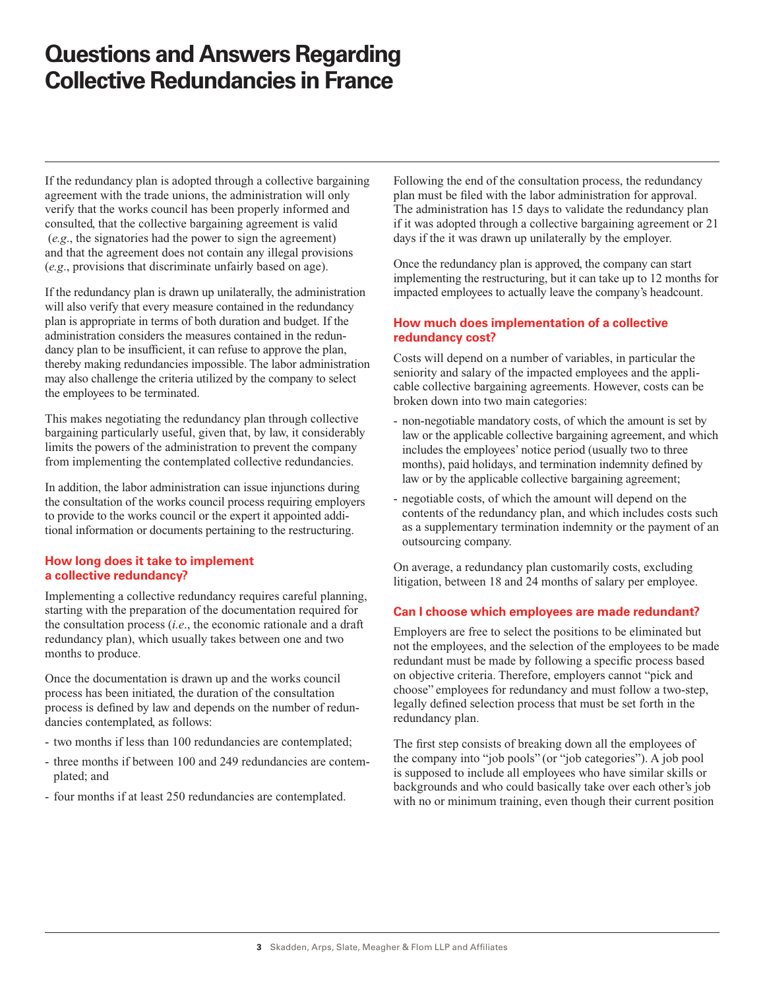If the redundancy plan is adopted through a collective bargaining agreement with the trade unions, the administration will only verify that the works council has been properly informed and consulted, that the collective bargaining agreement is valid (*e.g*., the signatories had the power to sign the agreement) and that the agreement does not contain any illegal provisions (*e.g*., provisions that discriminate unfairly based on age).

If the redundancy plan is drawn up unilaterally, the administration will also verify that every measure contained in the redundancy plan is appropriate in terms of both duration and budget. If the administration considers the measures contained in the redundancy plan to be insufficient, it can refuse to approve the plan, thereby making redundancies impossible. The labor administration may also challenge the criteria utilized by the company to select the employees to be terminated.

This makes negotiating the redundancy plan through collective bargaining particularly useful, given that, by law, it considerably limits the powers of the administration to prevent the company from implementing the contemplated collective redundancies.

In addition, the labor administration can issue injunctions during the consultation of the works council process requiring employers to provide to the works council or the expert it appointed additional information or documents pertaining to the restructuring.

#### **How long does it take to implement a collective redundancy?**

Implementing a collective redundancy requires careful planning, starting with the preparation of the documentation required for the consultation process (*i.e*., the economic rationale and a draft redundancy plan), which usually takes between one and two months to produce.

Once the documentation is drawn up and the works council process has been initiated, the duration of the consultation process is defined by law and depends on the number of redundancies contemplated, as follows:

- two months if less than 100 redundancies are contemplated;
- three months if between 100 and 249 redundancies are contemplated; and
- four months if at least 250 redundancies are contemplated.

Following the end of the consultation process, the redundancy plan must be filed with the labor administration for approval. The administration has 15 days to validate the redundancy plan if it was adopted through a collective bargaining agreement or 21 days if the it was drawn up unilaterally by the employer.

Once the redundancy plan is approved, the company can start implementing the restructuring, but it can take up to 12 months for impacted employees to actually leave the company's headcount.

#### **How much does implementation of a collective redundancy cost?**

Costs will depend on a number of variables, in particular the seniority and salary of the impacted employees and the applicable collective bargaining agreements. However, costs can be broken down into two main categories:

- non-negotiable mandatory costs, of which the amount is set by law or the applicable collective bargaining agreement, and which includes the employees' notice period (usually two to three months), paid holidays, and termination indemnity defined by law or by the applicable collective bargaining agreement;
- negotiable costs, of which the amount will depend on the contents of the redundancy plan, and which includes costs such as a supplementary termination indemnity or the payment of an outsourcing company.

On average, a redundancy plan customarily costs, excluding litigation, between 18 and 24 months of salary per employee.

## **Can I choose which employees are made redundant?**

Employers are free to select the positions to be eliminated but not the employees, and the selection of the employees to be made redundant must be made by following a specific process based on objective criteria. Therefore, employers cannot "pick and choose" employees for redundancy and must follow a two-step, legally defined selection process that must be set forth in the redundancy plan.

The first step consists of breaking down all the employees of the company into "job pools" (or "job categories"). A job pool is supposed to include all employees who have similar skills or backgrounds and who could basically take over each other's job with no or minimum training, even though their current position